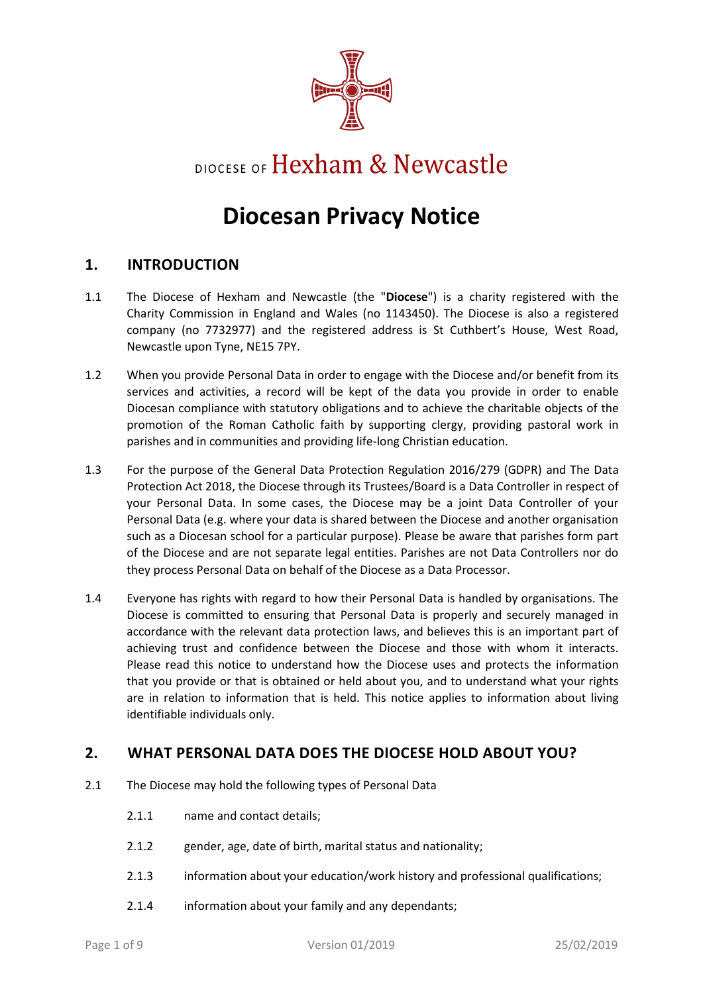

# DIOCESE OF Hexham & Newcastle

# **Diocesan Privacy Notice**

#### **1. INTRODUCTION**

- 1.1 The Diocese of Hexham and Newcastle (the "**Diocese**") is a charity registered with the Charity Commission in England and Wales (no 1143450). The Diocese is also a registered company (no 7732977) and the registered address is St Cuthbert's House, West Road, Newcastle upon Tyne, NE15 7PY.
- 1.2 When you provide Personal Data in order to engage with the Diocese and/or benefit from its services and activities, a record will be kept of the data you provide in order to enable Diocesan compliance with statutory obligations and to achieve the charitable objects of the promotion of the Roman Catholic faith by supporting clergy, providing pastoral work in parishes and in communities and providing life-long Christian education.
- 1.3 For the purpose of the General Data Protection Regulation 2016/279 (GDPR) and The Data Protection Act 2018, the Diocese through its Trustees/Board is a Data Controller in respect of your Personal Data. In some cases, the Diocese may be a joint Data Controller of your Personal Data (e.g. where your data is shared between the Diocese and another organisation such as a Diocesan school for a particular purpose). Please be aware that parishes form part of the Diocese and are not separate legal entities. Parishes are not Data Controllers nor do they process Personal Data on behalf of the Diocese as a Data Processor.
- 1.4 Everyone has rights with regard to how their Personal Data is handled by organisations. The Diocese is committed to ensuring that Personal Data is properly and securely managed in accordance with the relevant data protection laws, and believes this is an important part of achieving trust and confidence between the Diocese and those with whom it interacts. Please read this notice to understand how the Diocese uses and protects the information that you provide or that is obtained or held about you, and to understand what your rights are in relation to information that is held. This notice applies to information about living identifiable individuals only.

#### **2. WHAT PERSONAL DATA DOES THE DIOCESE HOLD ABOUT YOU?**

- 2.1 The Diocese may hold the following types of Personal Data
	- 2.1.1 name and contact details;
	- 2.1.2 gender, age, date of birth, marital status and nationality;
	- 2.1.3 information about your education/work history and professional qualifications;
	- 2.1.4 information about your family and any dependants;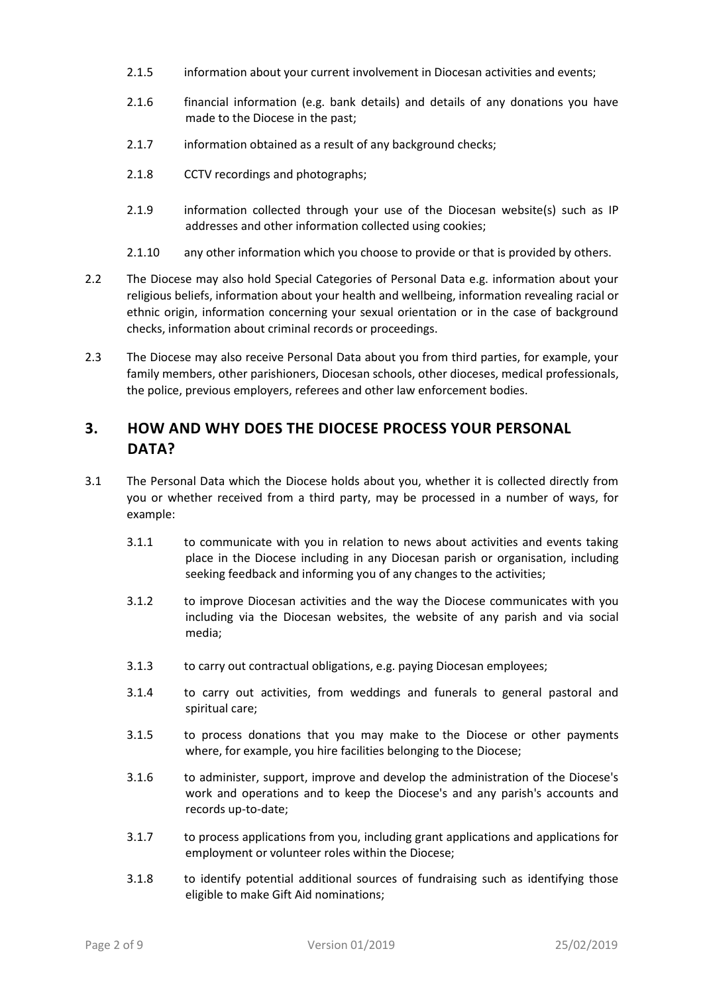- 2.1.5 information about your current involvement in Diocesan activities and events;
- 2.1.6 financial information (e.g. bank details) and details of any donations you have made to the Diocese in the past;
- 2.1.7 information obtained as a result of any background checks;
- 2.1.8 CCTV recordings and photographs;
- 2.1.9 information collected through your use of the Diocesan website(s) such as IP addresses and other information collected using cookies;
- 2.1.10 any other information which you choose to provide or that is provided by others.
- 2.2 The Diocese may also hold Special Categories of Personal Data e.g. information about your religious beliefs, information about your health and wellbeing, information revealing racial or ethnic origin, information concerning your sexual orientation or in the case of background checks, information about criminal records or proceedings.
- 2.3 The Diocese may also receive Personal Data about you from third parties, for example, your family members, other parishioners, Diocesan schools, other dioceses, medical professionals, the police, previous employers, referees and other law enforcement bodies.

### **3. HOW AND WHY DOES THE DIOCESE PROCESS YOUR PERSONAL DATA?**

- 3.1 The Personal Data which the Diocese holds about you, whether it is collected directly from you or whether received from a third party, may be processed in a number of ways, for example:
	- 3.1.1 to communicate with you in relation to news about activities and events taking place in the Diocese including in any Diocesan parish or organisation, including seeking feedback and informing you of any changes to the activities;
	- 3.1.2 to improve Diocesan activities and the way the Diocese communicates with you including via the Diocesan websites, the website of any parish and via social media;
	- 3.1.3 to carry out contractual obligations, e.g. paying Diocesan employees;
	- 3.1.4 to carry out activities, from weddings and funerals to general pastoral and spiritual care;
	- 3.1.5 to process donations that you may make to the Diocese or other payments where, for example, you hire facilities belonging to the Diocese;
	- 3.1.6 to administer, support, improve and develop the administration of the Diocese's work and operations and to keep the Diocese's and any parish's accounts and records up-to-date;
	- 3.1.7 to process applications from you, including grant applications and applications for employment or volunteer roles within the Diocese;
	- 3.1.8 to identify potential additional sources of fundraising such as identifying those eligible to make Gift Aid nominations;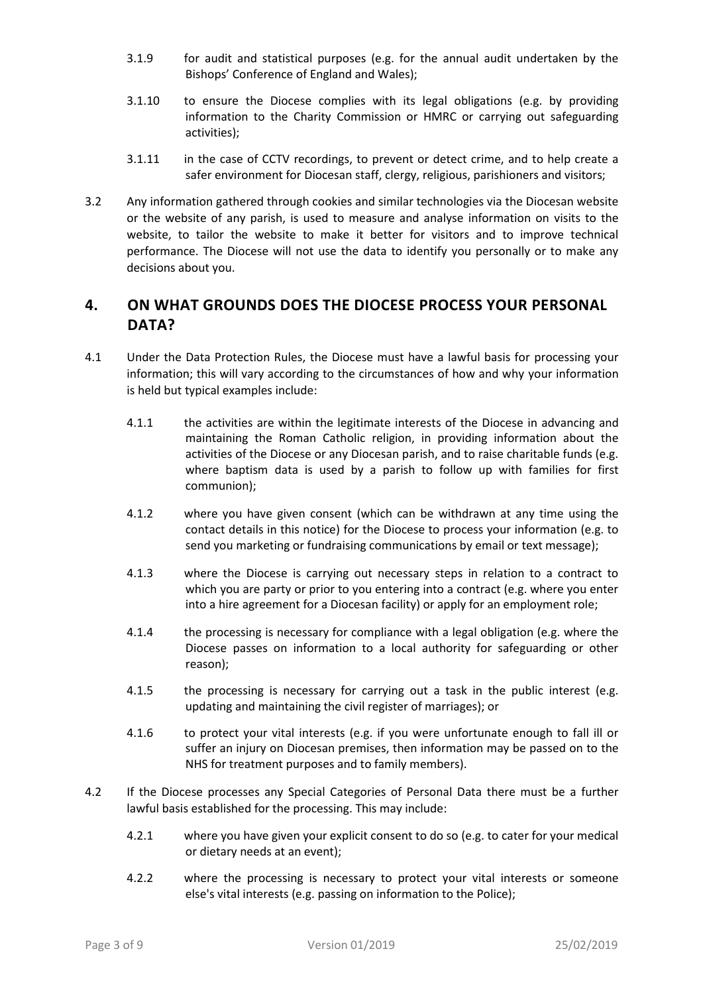- 3.1.9 for audit and statistical purposes (e.g. for the annual audit undertaken by the Bishops' Conference of England and Wales);
- 3.1.10 to ensure the Diocese complies with its legal obligations (e.g. by providing information to the Charity Commission or HMRC or carrying out safeguarding activities);
- 3.1.11 in the case of CCTV recordings, to prevent or detect crime, and to help create a safer environment for Diocesan staff, clergy, religious, parishioners and visitors;
- 3.2 Any information gathered through cookies and similar technologies via the Diocesan website or the website of any parish, is used to measure and analyse information on visits to the website, to tailor the website to make it better for visitors and to improve technical performance. The Diocese will not use the data to identify you personally or to make any decisions about you.

## **4. ON WHAT GROUNDS DOES THE DIOCESE PROCESS YOUR PERSONAL DATA?**

- 4.1 Under the Data Protection Rules, the Diocese must have a lawful basis for processing your information; this will vary according to the circumstances of how and why your information is held but typical examples include:
	- 4.1.1 the activities are within the legitimate interests of the Diocese in advancing and maintaining the Roman Catholic religion, in providing information about the activities of the Diocese or any Diocesan parish, and to raise charitable funds (e.g. where baptism data is used by a parish to follow up with families for first communion);
	- 4.1.2 where you have given consent (which can be withdrawn at any time using the contact details in this notice) for the Diocese to process your information (e.g. to send you marketing or fundraising communications by email or text message);
	- 4.1.3 where the Diocese is carrying out necessary steps in relation to a contract to which you are party or prior to you entering into a contract (e.g. where you enter into a hire agreement for a Diocesan facility) or apply for an employment role;
	- 4.1.4 the processing is necessary for compliance with a legal obligation (e.g. where the Diocese passes on information to a local authority for safeguarding or other reason);
	- 4.1.5 the processing is necessary for carrying out a task in the public interest (e.g. updating and maintaining the civil register of marriages); or
	- 4.1.6 to protect your vital interests (e.g. if you were unfortunate enough to fall ill or suffer an injury on Diocesan premises, then information may be passed on to the NHS for treatment purposes and to family members).
- 4.2 If the Diocese processes any Special Categories of Personal Data there must be a further lawful basis established for the processing. This may include:
	- 4.2.1 where you have given your explicit consent to do so (e.g. to cater for your medical or dietary needs at an event);
	- 4.2.2 where the processing is necessary to protect your vital interests or someone else's vital interests (e.g. passing on information to the Police);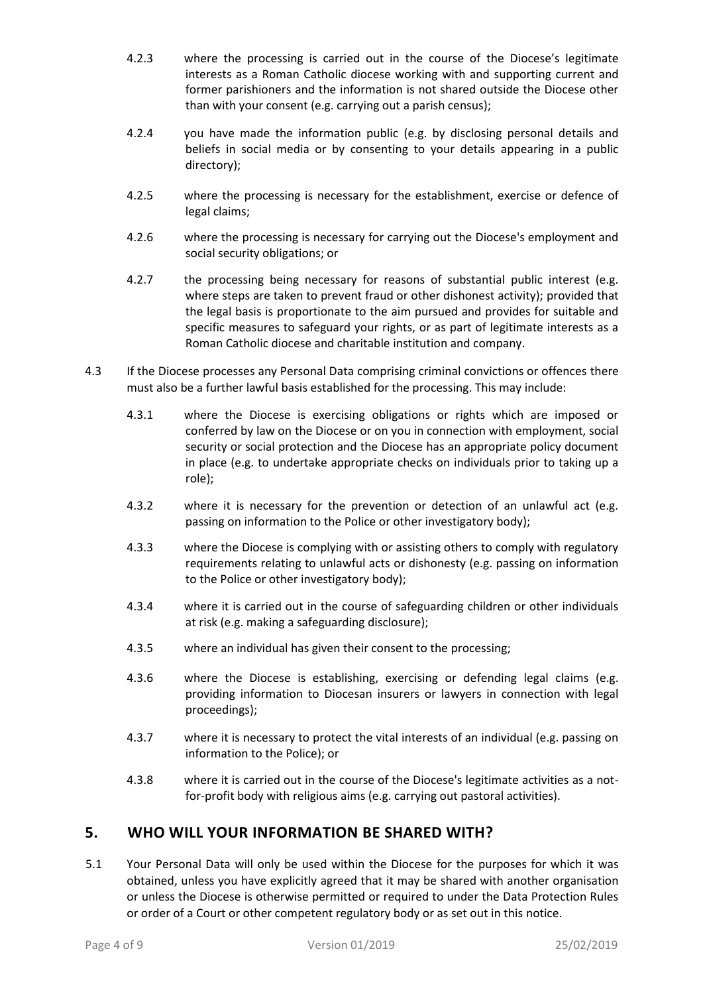- 4.2.3 where the processing is carried out in the course of the Diocese's legitimate interests as a Roman Catholic diocese working with and supporting current and former parishioners and the information is not shared outside the Diocese other than with your consent (e.g. carrying out a parish census);
- 4.2.4 you have made the information public (e.g. by disclosing personal details and beliefs in social media or by consenting to your details appearing in a public directory);
- 4.2.5 where the processing is necessary for the establishment, exercise or defence of legal claims;
- 4.2.6 where the processing is necessary for carrying out the Diocese's employment and social security obligations; or
- 4.2.7 the processing being necessary for reasons of substantial public interest (e.g. where steps are taken to prevent fraud or other dishonest activity); provided that the legal basis is proportionate to the aim pursued and provides for suitable and specific measures to safeguard your rights, or as part of legitimate interests as a Roman Catholic diocese and charitable institution and company.
- 4.3 If the Diocese processes any Personal Data comprising criminal convictions or offences there must also be a further lawful basis established for the processing. This may include:
	- 4.3.1 where the Diocese is exercising obligations or rights which are imposed or conferred by law on the Diocese or on you in connection with employment, social security or social protection and the Diocese has an appropriate policy document in place (e.g. to undertake appropriate checks on individuals prior to taking up a role);
	- 4.3.2 where it is necessary for the prevention or detection of an unlawful act (e.g. passing on information to the Police or other investigatory body);
	- 4.3.3 where the Diocese is complying with or assisting others to comply with regulatory requirements relating to unlawful acts or dishonesty (e.g. passing on information to the Police or other investigatory body);
	- 4.3.4 where it is carried out in the course of safeguarding children or other individuals at risk (e.g. making a safeguarding disclosure);
	- 4.3.5 where an individual has given their consent to the processing;
	- 4.3.6 where the Diocese is establishing, exercising or defending legal claims (e.g. providing information to Diocesan insurers or lawyers in connection with legal proceedings);
	- 4.3.7 where it is necessary to protect the vital interests of an individual (e.g. passing on information to the Police); or
	- 4.3.8 where it is carried out in the course of the Diocese's legitimate activities as a notfor-profit body with religious aims (e.g. carrying out pastoral activities).

#### **5. WHO WILL YOUR INFORMATION BE SHARED WITH?**

5.1 Your Personal Data will only be used within the Diocese for the purposes for which it was obtained, unless you have explicitly agreed that it may be shared with another organisation or unless the Diocese is otherwise permitted or required to under the Data Protection Rules or order of a Court or other competent regulatory body or as set out in this notice.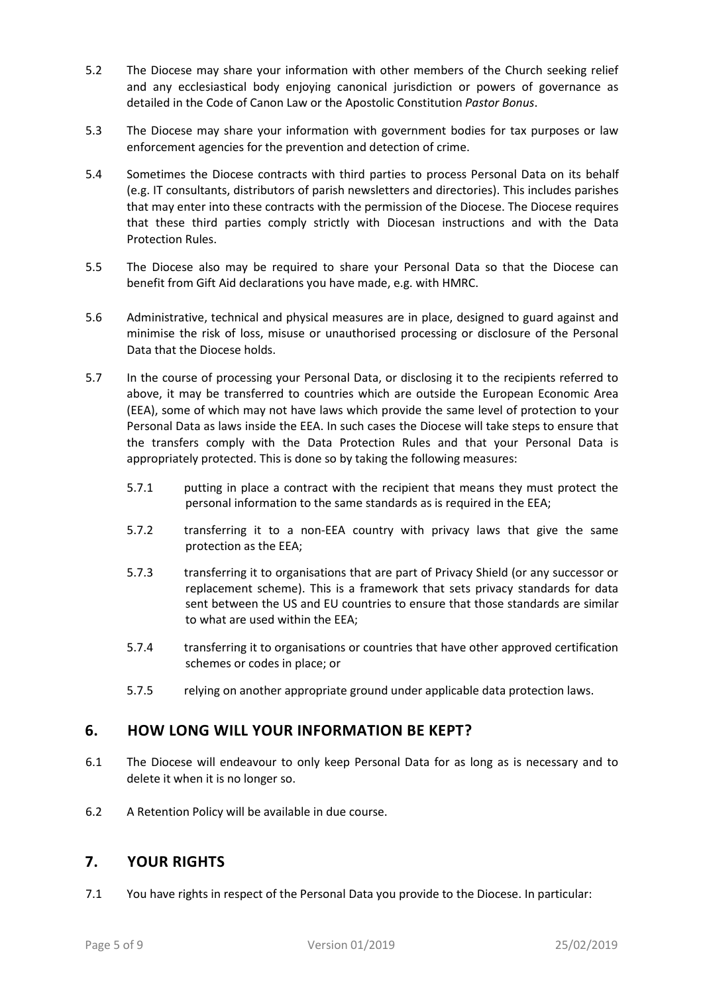- 5.2 The Diocese may share your information with other members of the Church seeking relief and any ecclesiastical body enjoying canonical jurisdiction or powers of governance as detailed in the Code of Canon Law or the Apostolic Constitution *Pastor Bonus*.
- 5.3 The Diocese may share your information with government bodies for tax purposes or law enforcement agencies for the prevention and detection of crime.
- 5.4 Sometimes the Diocese contracts with third parties to process Personal Data on its behalf (e.g. IT consultants, distributors of parish newsletters and directories). This includes parishes that may enter into these contracts with the permission of the Diocese. The Diocese requires that these third parties comply strictly with Diocesan instructions and with the Data Protection Rules.
- 5.5 The Diocese also may be required to share your Personal Data so that the Diocese can benefit from Gift Aid declarations you have made, e.g. with HMRC.
- 5.6 Administrative, technical and physical measures are in place, designed to guard against and minimise the risk of loss, misuse or unauthorised processing or disclosure of the Personal Data that the Diocese holds.
- 5.7 In the course of processing your Personal Data, or disclosing it to the recipients referred to above, it may be transferred to countries which are outside the European Economic Area (EEA), some of which may not have laws which provide the same level of protection to your Personal Data as laws inside the EEA. In such cases the Diocese will take steps to ensure that the transfers comply with the Data Protection Rules and that your Personal Data is appropriately protected. This is done so by taking the following measures:
	- 5.7.1 putting in place a contract with the recipient that means they must protect the personal information to the same standards as is required in the EEA;
	- 5.7.2 transferring it to a non-EEA country with privacy laws that give the same protection as the EEA;
	- 5.7.3 transferring it to organisations that are part of Privacy Shield (or any successor or replacement scheme). This is a framework that sets privacy standards for data sent between the US and EU countries to ensure that those standards are similar to what are used within the EEA;
	- 5.7.4 transferring it to organisations or countries that have other approved certification schemes or codes in place; or
	- 5.7.5 relying on another appropriate ground under applicable data protection laws.

#### **6. HOW LONG WILL YOUR INFORMATION BE KEPT?**

- 6.1 The Diocese will endeavour to only keep Personal Data for as long as is necessary and to delete it when it is no longer so.
- 6.2 A Retention Policy will be available in due course.

#### **7. YOUR RIGHTS**

7.1 You have rights in respect of the Personal Data you provide to the Diocese. In particular: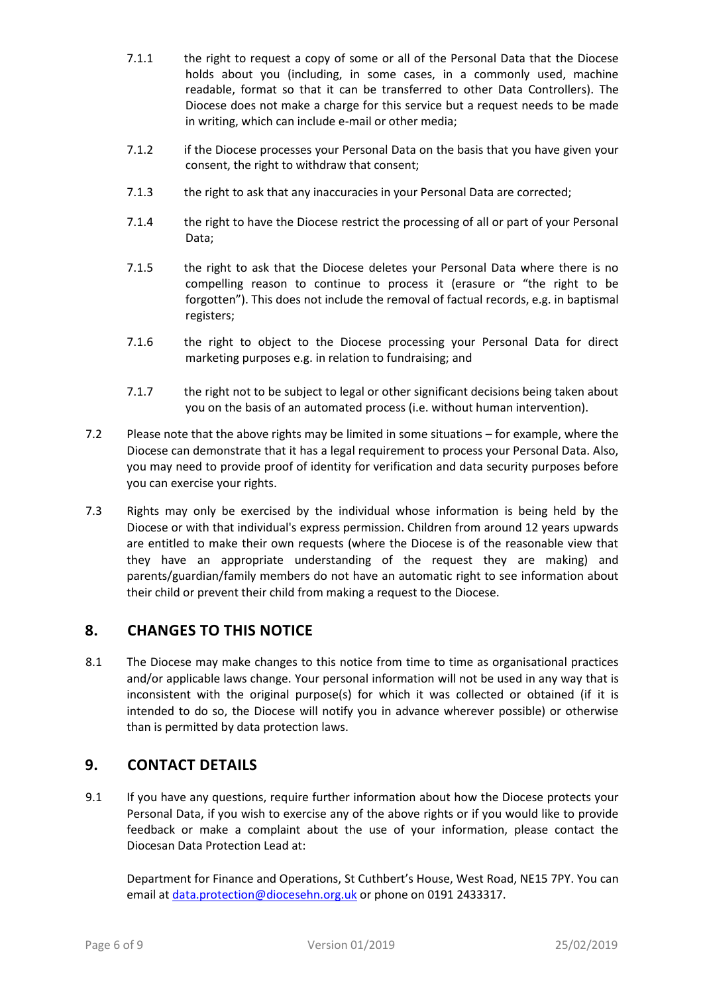- 7.1.1 the right to request a copy of some or all of the Personal Data that the Diocese holds about you (including, in some cases, in a commonly used, machine readable, format so that it can be transferred to other Data Controllers). The Diocese does not make a charge for this service but a request needs to be made in writing, which can include e-mail or other media;
- 7.1.2 if the Diocese processes your Personal Data on the basis that you have given your consent, the right to withdraw that consent;
- 7.1.3 the right to ask that any inaccuracies in your Personal Data are corrected;
- 7.1.4 the right to have the Diocese restrict the processing of all or part of your Personal Data;
- 7.1.5 the right to ask that the Diocese deletes your Personal Data where there is no compelling reason to continue to process it (erasure or "the right to be forgotten"). This does not include the removal of factual records, e.g. in baptismal registers;
- 7.1.6 the right to object to the Diocese processing your Personal Data for direct marketing purposes e.g. in relation to fundraising; and
- 7.1.7 the right not to be subject to legal or other significant decisions being taken about you on the basis of an automated process (i.e. without human intervention).
- 7.2 Please note that the above rights may be limited in some situations for example, where the Diocese can demonstrate that it has a legal requirement to process your Personal Data. Also, you may need to provide proof of identity for verification and data security purposes before you can exercise your rights.
- 7.3 Rights may only be exercised by the individual whose information is being held by the Diocese or with that individual's express permission. Children from around 12 years upwards are entitled to make their own requests (where the Diocese is of the reasonable view that they have an appropriate understanding of the request they are making) and parents/guardian/family members do not have an automatic right to see information about their child or prevent their child from making a request to the Diocese.

#### **8. CHANGES TO THIS NOTICE**

8.1 The Diocese may make changes to this notice from time to time as organisational practices and/or applicable laws change. Your personal information will not be used in any way that is inconsistent with the original purpose(s) for which it was collected or obtained (if it is intended to do so, the Diocese will notify you in advance wherever possible) or otherwise than is permitted by data protection laws.

#### **9. CONTACT DETAILS**

9.1 If you have any questions, require further information about how the Diocese protects your Personal Data, if you wish to exercise any of the above rights or if you would like to provide feedback or make a complaint about the use of your information, please contact the Diocesan Data Protection Lead at:

Department for Finance and Operations, St Cuthbert's House, West Road, NE15 7PY. You can email at [data.protection@diocesehn.org.uk](mailto:data.protection@diocesehn.org.uk) or phone on 0191 2433317.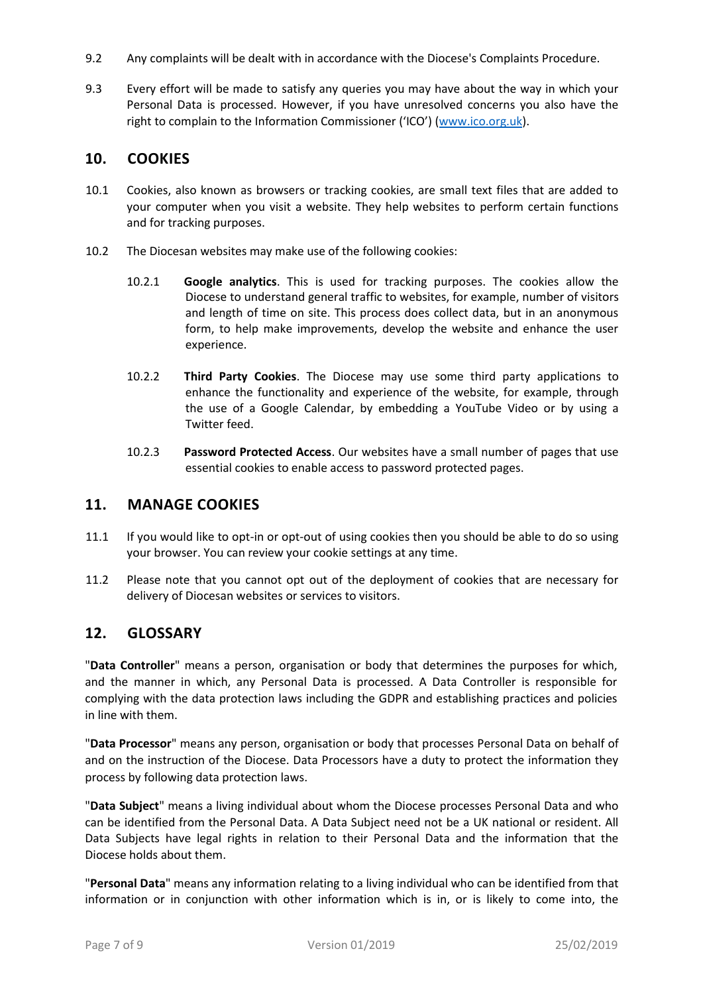- 9.2 Any complaints will be dealt with in accordance with the Diocese's Complaints Procedure.
- 9.3 Every effort will be made to satisfy any queries you may have about the way in which your Personal Data is processed. However, if you have unresolved concerns you also have the right to complain to the Information Commissioner ('ICO') ([www.ico.org.uk\)](http://www.ico.org.uk/).

#### **10. COOKIES**

- 10.1 Cookies, also known as browsers or tracking cookies, are small text files that are added to your computer when you visit a website. They help websites to perform certain functions and for tracking purposes.
- 10.2 The Diocesan websites may make use of the following cookies:
	- 10.2.1 **Google analytics**. This is used for tracking purposes. The cookies allow the Diocese to understand general traffic to websites, for example, number of visitors and length of time on site. This process does collect data, but in an anonymous form, to help make improvements, develop the website and enhance the user experience.
	- 10.2.2 **Third Party Cookies**. The Diocese may use some third party applications to enhance the functionality and experience of the website, for example, through the use of a Google Calendar, by embedding a YouTube Video or by using a Twitter feed.
	- 10.2.3 **Password Protected Access**. Our websites have a small number of pages that use essential cookies to enable access to password protected pages.

#### **11. MANAGE COOKIES**

- 11.1 If you would like to opt-in or opt-out of using cookies then you should be able to do so using your browser. You can review your cookie settings at any time.
- 11.2 Please note that you cannot opt out of the deployment of cookies that are necessary for delivery of Diocesan websites or services to visitors.

#### **12. GLOSSARY**

"**Data Controller**" means a person, organisation or body that determines the purposes for which, and the manner in which, any Personal Data is processed. A Data Controller is responsible for complying with the data protection laws including the GDPR and establishing practices and policies in line with them.

"**Data Processor**" means any person, organisation or body that processes Personal Data on behalf of and on the instruction of the Diocese. Data Processors have a duty to protect the information they process by following data protection laws.

"**Data Subject**" means a living individual about whom the Diocese processes Personal Data and who can be identified from the Personal Data. A Data Subject need not be a UK national or resident. All Data Subjects have legal rights in relation to their Personal Data and the information that the Diocese holds about them.

"**Personal Data**" means any information relating to a living individual who can be identified from that information or in conjunction with other information which is in, or is likely to come into, the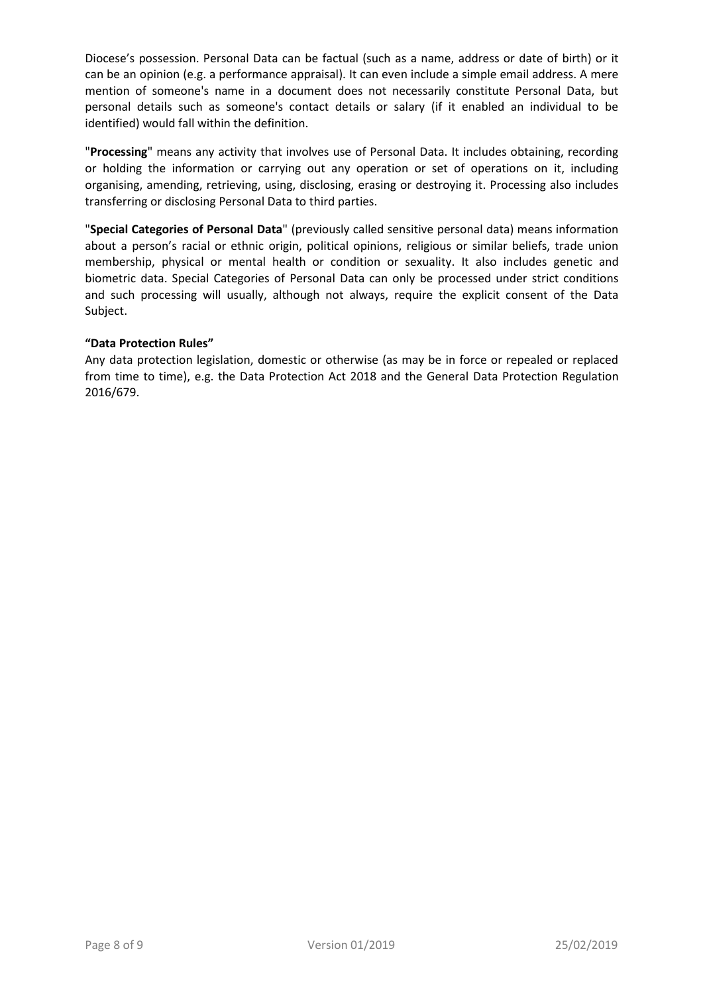Diocese's possession. Personal Data can be factual (such as a name, address or date of birth) or it can be an opinion (e.g. a performance appraisal). It can even include a simple email address. A mere mention of someone's name in a document does not necessarily constitute Personal Data, but personal details such as someone's contact details or salary (if it enabled an individual to be identified) would fall within the definition.

"**Processing**" means any activity that involves use of Personal Data. It includes obtaining, recording or holding the information or carrying out any operation or set of operations on it, including organising, amending, retrieving, using, disclosing, erasing or destroying it. Processing also includes transferring or disclosing Personal Data to third parties.

"**Special Categories of Personal Data**" (previously called sensitive personal data) means information about a person's racial or ethnic origin, political opinions, religious or similar beliefs, trade union membership, physical or mental health or condition or sexuality. It also includes genetic and biometric data. Special Categories of Personal Data can only be processed under strict conditions and such processing will usually, although not always, require the explicit consent of the Data Subject.

#### **"Data Protection Rules"**

Any data protection legislation, domestic or otherwise (as may be in force or repealed or replaced from time to time), e.g. the Data Protection Act 2018 and the General Data Protection Regulation 2016/679.